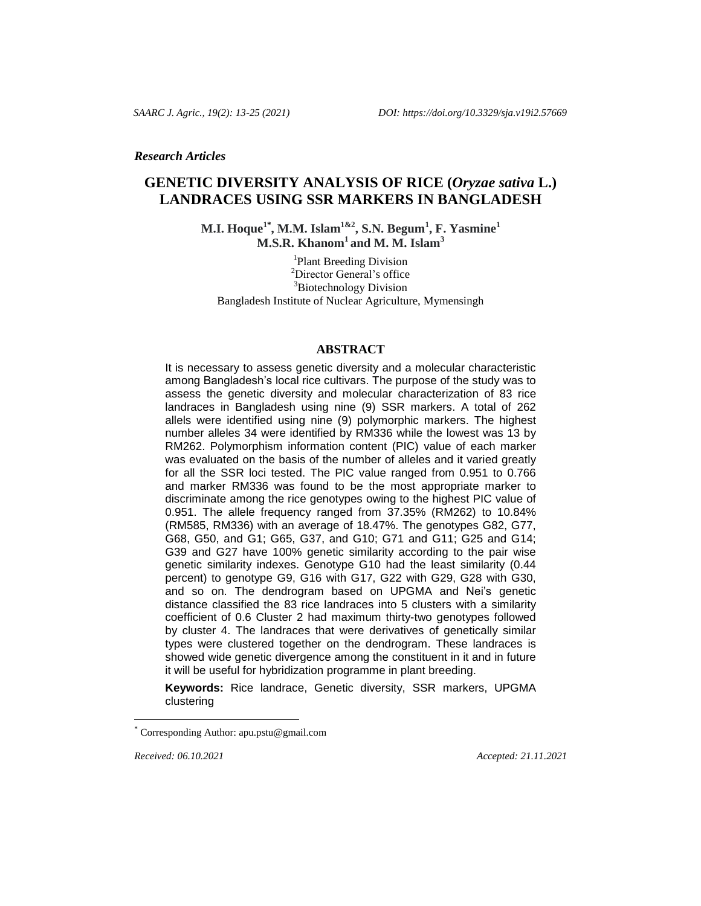*Research Articles*

# **GENETIC DIVERSITY ANALYSIS OF RICE (***Oryzae sativa* **L.) LANDRACES USING SSR MARKERS IN BANGLADESH**

**M.I. Hoque1\* , M.M. Islam1&2, S.N. Begum<sup>1</sup> , F. Yasmine<sup>1</sup> M.S.R. Khanom<sup>1</sup> and M. M. Islam<sup>3</sup>**

<sup>1</sup>Plant Breeding Division <sup>2</sup>Director General's office <sup>3</sup>Biotechnology Division Bangladesh Institute of Nuclear Agriculture, Mymensingh

## **ABSTRACT**

It is necessary to assess genetic diversity and a molecular characteristic among Bangladesh's local rice cultivars. The purpose of the study was to assess the genetic diversity and molecular characterization of 83 rice landraces in Bangladesh using nine (9) SSR markers. A total of 262 allels were identified using nine (9) polymorphic markers. The highest number alleles 34 were identified by RM336 while the lowest was 13 by RM262. Polymorphism information content (PIC) value of each marker was evaluated on the basis of the number of alleles and it varied greatly for all the SSR loci tested. The PIC value ranged from 0.951 to 0.766 and marker RM336 was found to be the most appropriate marker to discriminate among the rice genotypes owing to the highest PIC value of 0.951. The allele frequency ranged from 37.35% (RM262) to 10.84% (RM585, RM336) with an average of 18.47%. The genotypes G82, G77, G68, G50, and G1; G65, G37, and G10; G71 and G11; G25 and G14; G39 and G27 have 100% genetic similarity according to the pair wise genetic similarity indexes. Genotype G10 had the least similarity (0.44 percent) to genotype G9, G16 with G17, G22 with G29, G28 with G30, and so on. The dendrogram based on UPGMA and Nei's genetic distance classified the 83 rice landraces into 5 clusters with a similarity coefficient of 0.6 Cluster 2 had maximum thirty-two genotypes followed by cluster 4. The landraces that were derivatives of genetically similar types were clustered together on the dendrogram. These landraces is showed wide genetic divergence among the constituent in it and in future it will be useful for hybridization programme in plant breeding.

**Keywords:** Rice landrace, Genetic diversity, SSR markers, UPGMA clustering

 $\overline{a}$ 

*Received: 06.10.2021 Accepted: 21.11.2021*

Corresponding Author: apu.pstu@gmail.com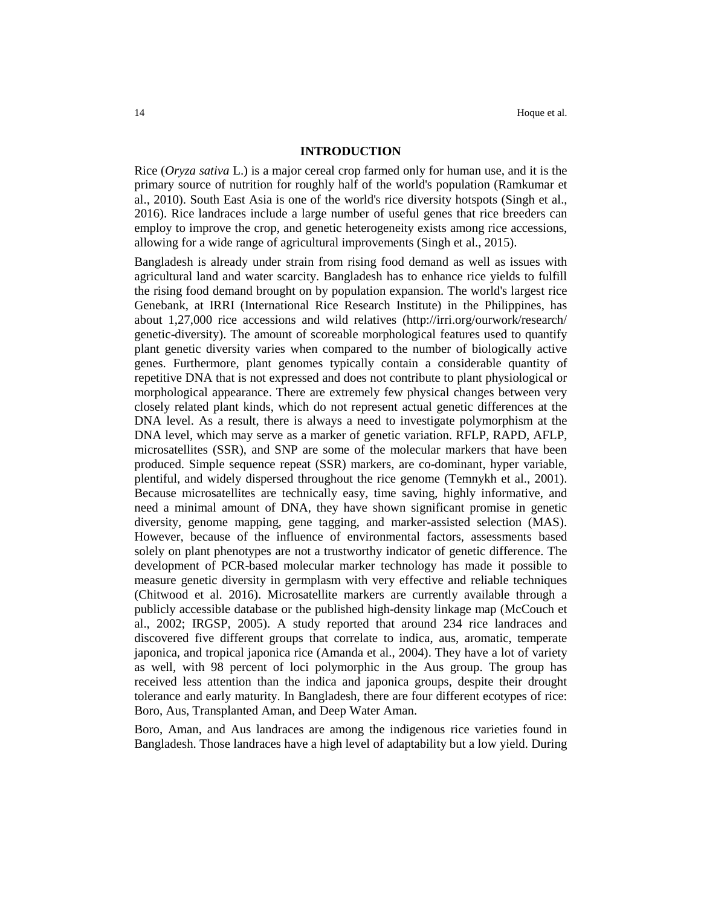## **INTRODUCTION**

Rice (*Oryza sativa* L.) is a major cereal crop farmed only for human use, and it is the primary source of nutrition for roughly half of the world's population (Ramkumar et al., 2010). South East Asia is one of the world's rice diversity hotspots (Singh et al., 2016). Rice landraces include a large number of useful genes that rice breeders can employ to improve the crop, and genetic heterogeneity exists among rice accessions, allowing for a wide range of agricultural improvements (Singh et al., 2015).

Bangladesh is already under strain from rising food demand as well as issues with agricultural land and water scarcity. Bangladesh has to enhance rice yields to fulfill the rising food demand brought on by population expansion. The world's largest rice Genebank, at IRRI (International Rice Research Institute) in the Philippines, has about 1,27,000 rice accessions and wild relatives (http://irri.org/ourwork/research/ genetic-diversity). The amount of scoreable morphological features used to quantify plant genetic diversity varies when compared to the number of biologically active genes. Furthermore, plant genomes typically contain a considerable quantity of repetitive DNA that is not expressed and does not contribute to plant physiological or morphological appearance. There are extremely few physical changes between very closely related plant kinds, which do not represent actual genetic differences at the DNA level. As a result, there is always a need to investigate polymorphism at the DNA level, which may serve as a marker of genetic variation. RFLP, RAPD, AFLP, microsatellites (SSR), and SNP are some of the molecular markers that have been produced. Simple sequence repeat (SSR) markers, are co-dominant, hyper variable, plentiful, and widely dispersed throughout the rice genome (Temnykh et al., 2001). Because microsatellites are technically easy, time saving, highly informative, and need a minimal amount of DNA, they have shown significant promise in genetic diversity, genome mapping, gene tagging, and marker-assisted selection (MAS). However, because of the influence of environmental factors, assessments based solely on plant phenotypes are not a trustworthy indicator of genetic difference. The development of PCR-based molecular marker technology has made it possible to measure genetic diversity in germplasm with very effective and reliable techniques (Chitwood et al. 2016). Microsatellite markers are currently available through a publicly accessible database or the published high-density linkage map (McCouch et al., 2002; IRGSP, 2005). A study reported that around 234 rice landraces and discovered five different groups that correlate to indica, aus, aromatic, temperate japonica, and tropical japonica rice (Amanda et al., 2004). They have a lot of variety as well, with 98 percent of loci polymorphic in the Aus group. The group has received less attention than the indica and japonica groups, despite their drought tolerance and early maturity. In Bangladesh, there are four different ecotypes of rice: Boro, Aus, Transplanted Aman, and Deep Water Aman.

Boro, Aman, and Aus landraces are among the indigenous rice varieties found in Bangladesh. Those landraces have a high level of adaptability but a low yield. During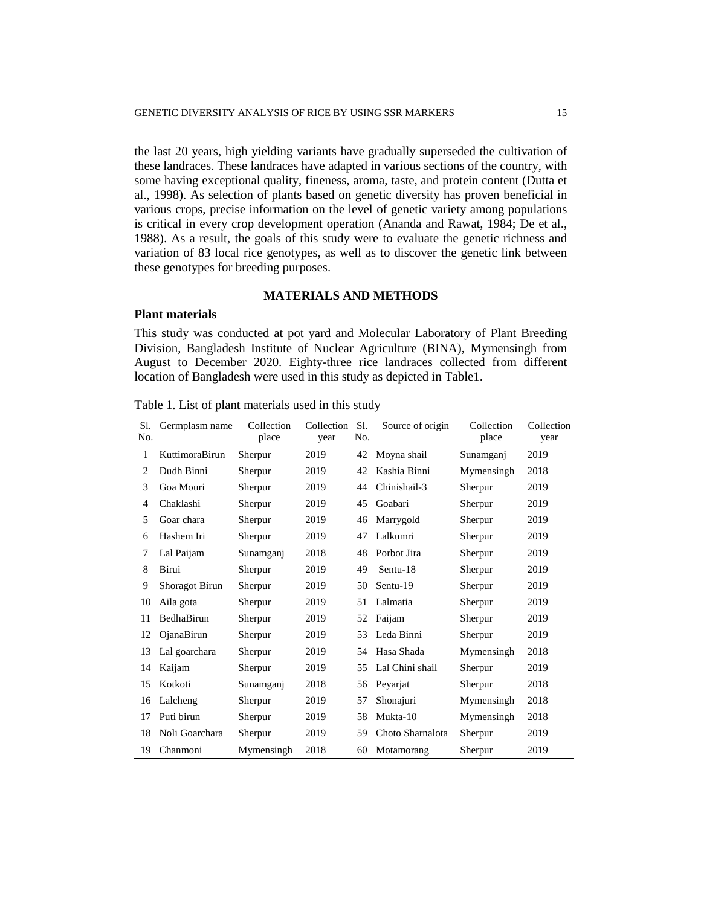the last 20 years, high yielding variants have gradually superseded the cultivation of these landraces. These landraces have adapted in various sections of the country, with some having exceptional quality, fineness, aroma, taste, and protein content (Dutta et al., 1998). As selection of plants based on genetic diversity has proven beneficial in various crops, precise information on the level of genetic variety among populations is critical in every crop development operation (Ananda and Rawat, 1984; De et al., 1988). As a result, the goals of this study were to evaluate the genetic richness and variation of 83 local rice genotypes, as well as to discover the genetic link between these genotypes for breeding purposes.

# **MATERIALS AND METHODS**

#### **Plant materials**

This study was conducted at pot yard and Molecular Laboratory of Plant Breeding Division, Bangladesh Institute of Nuclear Agriculture (BINA), Mymensingh from August to December 2020. Eighty-three rice landraces collected from different location of Bangladesh were used in this study as depicted in Table1.

| Sl.<br>No. | Germplasm name        | Collection<br>place | Collection<br>year | Sl.<br>No. | Source of origin | Collection<br>place | Collection<br>year |
|------------|-----------------------|---------------------|--------------------|------------|------------------|---------------------|--------------------|
| 1          | KuttimoraBirun        | Sherpur             | 2019               | 42         | Moyna shail      | Sunamganj           | 2019               |
| 2          | Dudh Binni            | Sherpur             | 2019               | 42         | Kashia Binni     | Mymensingh          | 2018               |
| 3          | Goa Mouri             | Sherpur             | 2019               | 44         | Chinishail-3     | Sherpur             | 2019               |
| 4          | Chaklashi             | Sherpur             | 2019               | 45         | Goabari          | Sherpur             | 2019               |
| 5          | Goar chara            | Sherpur             | 2019               | 46         | Marrygold        | Sherpur             | 2019               |
| 6          | Hashem Iri            | Sherpur             | 2019               | 47         | Lalkumri         | Sherpur             | 2019               |
| 7          | Lal Paijam            | Sunamganj           | 2018               | 48         | Porbot Jira      | Sherpur             | 2019               |
| 8          | Birui                 | Sherpur             | 2019               | 49         | Sentu-18         | Sherpur             | 2019               |
| 9          | <b>Shoragot Birun</b> | Sherpur             | 2019               | 50         | Sentu-19         | Sherpur             | 2019               |
| 10         | Aila gota             | Sherpur             | 2019               | 51         | Lalmatia         | Sherpur             | 2019               |
| 11         | BedhaBirun            | Sherpur             | 2019               | 52         | Faijam           | Sherpur             | 2019               |
| 12         | OjanaBirun            | Sherpur             | 2019               | 53         | Leda Binni       | Sherpur             | 2019               |
| 13         | Lal goarchara         | Sherpur             | 2019               | 54         | Hasa Shada       | Mymensingh          | 2018               |
| 14         | Kaijam                | Sherpur             | 2019               | 55         | Lal Chini shail  | Sherpur             | 2019               |
| 15         | Kotkoti               | Sunamganj           | 2018               | 56         | Peyarjat         | Sherpur             | 2018               |
| 16         | Lalcheng              | Sherpur             | 2019               | 57         | Shonajuri        | Mymensingh          | 2018               |
| 17         | Puti birun            | Sherpur             | 2019               | 58         | Mukta-10         | Mymensingh          | 2018               |
| 18         | Noli Goarchara        | Sherpur             | 2019               | 59         | Choto Sharnalota | Sherpur             | 2019               |
| 19         | Chanmoni              | Mymensingh          | 2018               | 60         | Motamorang       | Sherpur             | 2019               |

Table 1. List of plant materials used in this study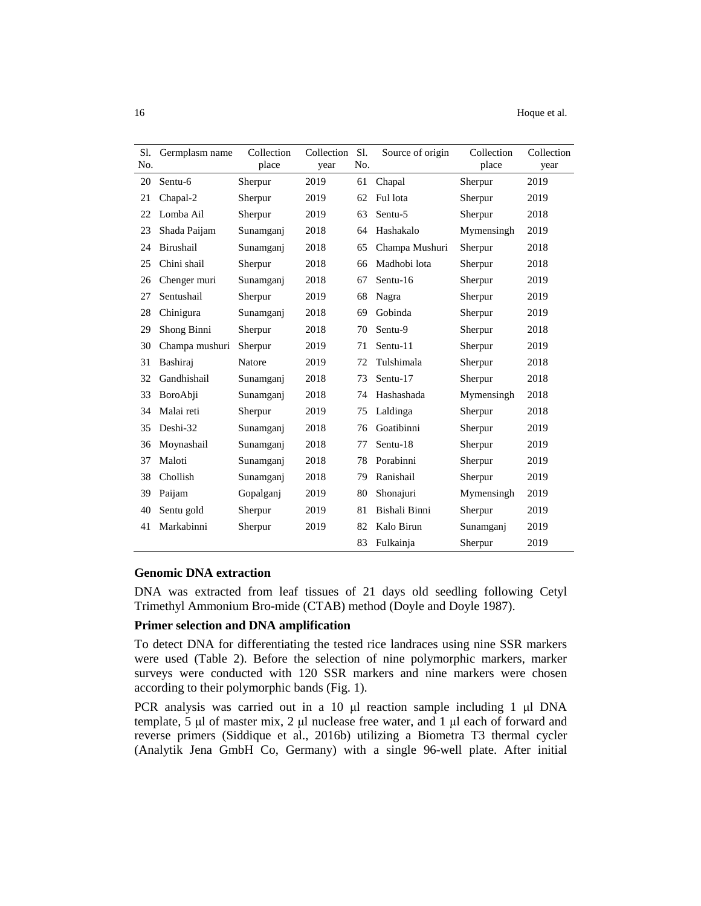| Sl.<br>No. | Germplasm name | Collection<br>place | Collection<br>year | Sl.<br>No. | Source of origin | Collection<br>place | Collection<br>year |
|------------|----------------|---------------------|--------------------|------------|------------------|---------------------|--------------------|
| 20         | Sentu-6        | Sherpur             | 2019               | 61         | Chapal           | Sherpur             | 2019               |
| 21         | Chapal-2       | Sherpur             | 2019               | 62         | Ful lota         | Sherpur             | 2019               |
| 22         | Lomba Ail      | Sherpur             | 2019               | 63         | Sentu-5          | Sherpur             | 2018               |
| 23         | Shada Paijam   | Sunamganj           | 2018               | 64         | Hashakalo        | Mymensingh          | 2019               |
| 24         | Birushail      | Sunamganj           | 2018               | 65         | Champa Mushuri   | Sherpur             | 2018               |
| 25         | Chini shail    | Sherpur             | 2018               | 66         | Madhobi lota     | Sherpur             | 2018               |
| 26         | Chenger muri   | Sunamganj           | 2018               | 67         | Sentu-16         | Sherpur             | 2019               |
| 27         | Sentushail     | Sherpur             | 2019               | 68         | Nagra            | Sherpur             | 2019               |
| 28         | Chinigura      | Sunamganj           | 2018               | 69         | Gobinda          | Sherpur             | 2019               |
| 29         | Shong Binni    | Sherpur             | 2018               | 70         | Sentu-9          | Sherpur             | 2018               |
| 30         | Champa mushuri | Sherpur             | 2019               | 71         | Sentu-11         | Sherpur             | 2019               |
| 31         | Bashiraj       | Natore              | 2019               | 72         | Tulshimala       | Sherpur             | 2018               |
| 32         | Gandhishail    | Sunamganj           | 2018               | 73         | Sentu-17         | Sherpur             | 2018               |
| 33         | BoroAbji       | Sunamganj           | 2018               | 74         | Hashashada       | Mymensingh          | 2018               |
| 34         | Malai reti     | Sherpur             | 2019               | 75         | Laldinga         | Sherpur             | 2018               |
| 35         | Deshi-32       | Sunamganj           | 2018               | 76         | Goatibinni       | Sherpur             | 2019               |
| 36         | Moynashail     | Sunamganj           | 2018               | 77         | Sentu-18         | Sherpur             | 2019               |
| 37         | Maloti         | Sunamganj           | 2018               | 78         | Porabinni        | Sherpur             | 2019               |
| 38         | Chollish       | Sunamganj           | 2018               | 79         | Ranishail        | Sherpur             | 2019               |
| 39         | Paijam         | Gopalganj           | 2019               | 80         | Shonajuri        | Mymensingh          | 2019               |
| 40         | Sentu gold     | Sherpur             | 2019               | 81         | Bishali Binni    | Sherpur             | 2019               |
| 41         | Markabinni     | Sherpur             | 2019               | 82         | Kalo Birun       | Sunamganj           | 2019               |
|            |                |                     |                    | 83         | Fulkainja        | Sherpur             | 2019               |

# **Genomic DNA extraction**

DNA was extracted from leaf tissues of 21 days old seedling following Cetyl Trimethyl Ammonium Bro-mide (CTAB) method (Doyle and Doyle 1987).

#### **Primer selection and DNA amplification**

To detect DNA for differentiating the tested rice landraces using nine SSR markers were used (Table 2). Before the selection of nine polymorphic markers, marker surveys were conducted with 120 SSR markers and nine markers were chosen according to their polymorphic bands (Fig. 1).

PCR analysis was carried out in a 10 μl reaction sample including 1 μl DNA template, 5 μl of master mix, 2 μl nuclease free water, and 1 μl each of forward and reverse primers (Siddique et al., 2016b) utilizing a Biometra T3 thermal cycler (Analytik Jena GmbH Co, Germany) with a single 96-well plate. After initial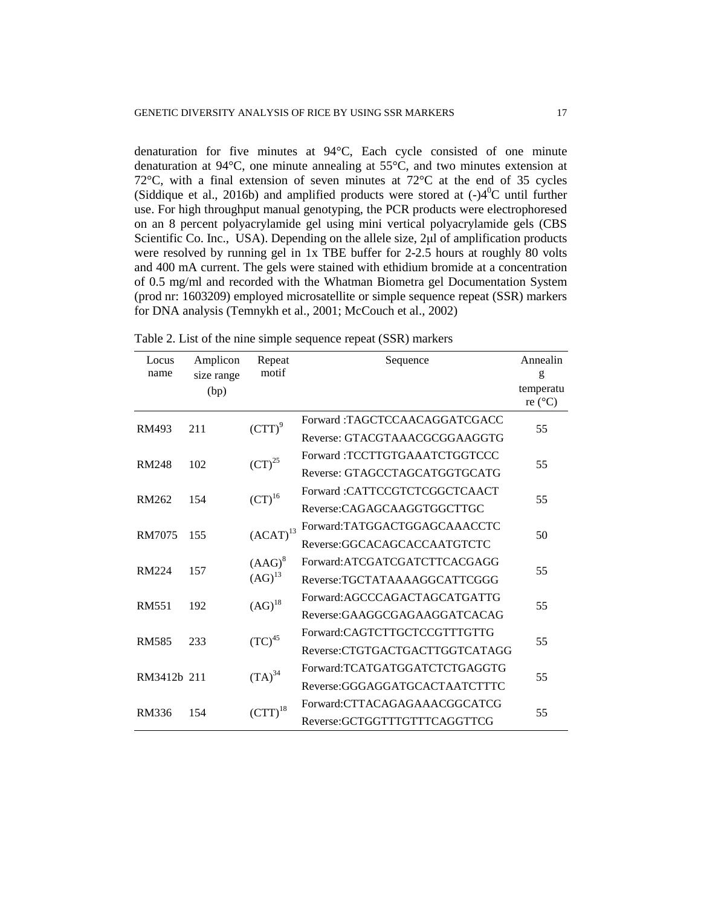denaturation for five minutes at 94°C, Each cycle consisted of one minute denaturation at 94°C, one minute annealing at 55°C, and two minutes extension at 72 $^{\circ}$ C, with a final extension of seven minutes at 72 $^{\circ}$ C at the end of 35 cycles (Siddique et al., 2016b) and amplified products were stored at  $(-)4^0C$  until further use. For high throughput manual genotyping, the PCR products were electrophoresed on an 8 percent polyacrylamide gel using mini vertical polyacrylamide gels (CBS Scientific Co. Inc., USA). Depending on the allele size, 2μl of amplification products were resolved by running gel in 1x TBE buffer for 2-2.5 hours at roughly 80 volts and 400 mA current. The gels were stained with ethidium bromide at a concentration of 0.5 mg/ml and recorded with the Whatman Biometra gel Documentation System (prod nr: 1603209) employed microsatellite or simple sequence repeat (SSR) markers for DNA analysis (Temnykh et al., 2001; McCouch et al., 2002)

| Locus        | Amplicon<br>Repeat |                                  | Sequence                       | Annealin         |  |
|--------------|--------------------|----------------------------------|--------------------------------|------------------|--|
| name         | size range         | motif                            |                                | $\mathbf{g}$     |  |
|              | (bp)               |                                  |                                | temperatu        |  |
|              |                    |                                  |                                | re $(^{\circ}C)$ |  |
| RM493        | 211                | $\left( \text{CTT} \right)^9$    | Forward:TAGCTCCAACAGGATCGACC   | 55               |  |
|              |                    |                                  | Reverse: GTACGTAAACGCGGAAGGTG  |                  |  |
| <b>RM248</b> | 102                | $\left( \text{CT}\right)^{25}$   | Forward:TCCTTGTGAAATCTGGTCCC   | 55               |  |
|              |                    |                                  | Reverse: GTAGCCTAGCATGGTGCATG  |                  |  |
| RM262        | 154                | $\left( \text{CT}\right) ^{16}$  | Forward :CATTCCGTCTCGGCTCAACT  | 55               |  |
|              |                    |                                  | Reverse:CAGAGCAAGGTGGCTTGC     |                  |  |
| RM7075       | 155                | $\left(\text{ACAT}\right)^{13}$  | Forward:TATGGACTGGAGCAAACCTC   | 50               |  |
|              |                    |                                  | Reverse:GGCACAGCACCAATGTCTC    |                  |  |
| RM224        | 157                | $(AAG)^8$<br>$(AG)^{13}$         | Forward: ATCGATCGATCTTCACGAGG  | 55               |  |
|              |                    |                                  | Reverse:TGCTATAAAAGGCATTCGGG   |                  |  |
| <b>RM551</b> | 192                | $(AG)^{18}$                      | Forward:AGCCCAGACTAGCATGATTG   |                  |  |
|              |                    |                                  | Reverse:GAAGGCGAGAAGGATCACAG   | 55               |  |
| <b>RM585</b> | 233                | ${\rm (TC)}^{45}$                | Forward:CAGTCTTGCTCCGTTTGTTG   |                  |  |
|              |                    |                                  | Reverse:CTGTGACTGACTTGGTCATAGG | 55               |  |
| RM3412b 211  |                    | $(TA)^{34}$                      | Forward:TCATGATGGATCTCTGAGGTG  | 55               |  |
|              |                    |                                  | Reverse:GGGAGGATGCACTAATCTTTC  |                  |  |
| <b>RM336</b> | 154                | $\left( \text{CTT} \right)^{18}$ | Forward:CTTACAGAGAAACGGCATCG   | 55               |  |
|              |                    |                                  | Reverse:GCTGGTTTGTTTCAGGTTCG   |                  |  |

Table 2. List of the nine simple sequence repeat (SSR) markers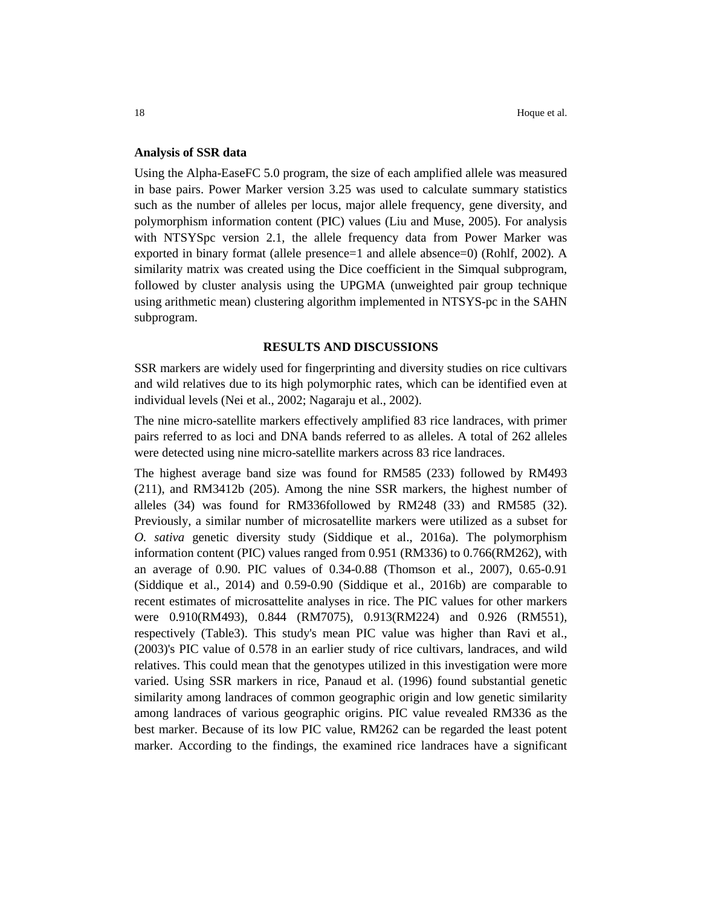#### **Analysis of SSR data**

Using the Alpha-EaseFC 5.0 program, the size of each amplified allele was measured in base pairs. Power Marker version 3.25 was used to calculate summary statistics such as the number of alleles per locus, major allele frequency, gene diversity, and polymorphism information content (PIC) values (Liu and Muse, 2005). For analysis with NTSYSpc version 2.1, the allele frequency data from Power Marker was exported in binary format (allele presence=1 and allele absence=0) (Rohlf, 2002). A similarity matrix was created using the Dice coefficient in the Simqual subprogram, followed by cluster analysis using the UPGMA (unweighted pair group technique using arithmetic mean) clustering algorithm implemented in NTSYS-pc in the SAHN subprogram.

#### **RESULTS AND DISCUSSIONS**

SSR markers are widely used for fingerprinting and diversity studies on rice cultivars and wild relatives due to its high polymorphic rates, which can be identified even at individual levels (Nei et al., 2002; Nagaraju et al., 2002).

The nine micro-satellite markers effectively amplified 83 rice landraces, with primer pairs referred to as loci and DNA bands referred to as alleles. A total of 262 alleles were detected using nine micro-satellite markers across 83 rice landraces.

The highest average band size was found for RM585 (233) followed by RM493 (211), and RM3412b (205). Among the nine SSR markers, the highest number of alleles (34) was found for RM336followed by RM248 (33) and RM585 (32). Previously, a similar number of microsatellite markers were utilized as a subset for *O. sativa* genetic diversity study (Siddique et al., 2016a). The polymorphism information content (PIC) values ranged from 0.951 (RM336) to 0.766(RM262), with an average of 0.90. PIC values of 0.34-0.88 (Thomson et al., 2007), 0.65-0.91 (Siddique et al., 2014) and 0.59-0.90 (Siddique et al., 2016b) are comparable to recent estimates of microsattelite analyses in rice. The PIC values for other markers were 0.910(RM493), 0.844 (RM7075), 0.913(RM224) and 0.926 (RM551), respectively (Table3). This study's mean PIC value was higher than Ravi et al., (2003)'s PIC value of 0.578 in an earlier study of rice cultivars, landraces, and wild relatives. This could mean that the genotypes utilized in this investigation were more varied. Using SSR markers in rice, Panaud et al. (1996) found substantial genetic similarity among landraces of common geographic origin and low genetic similarity among landraces of various geographic origins. PIC value revealed RM336 as the best marker. Because of its low PIC value, RM262 can be regarded the least potent marker. According to the findings, the examined rice landraces have a significant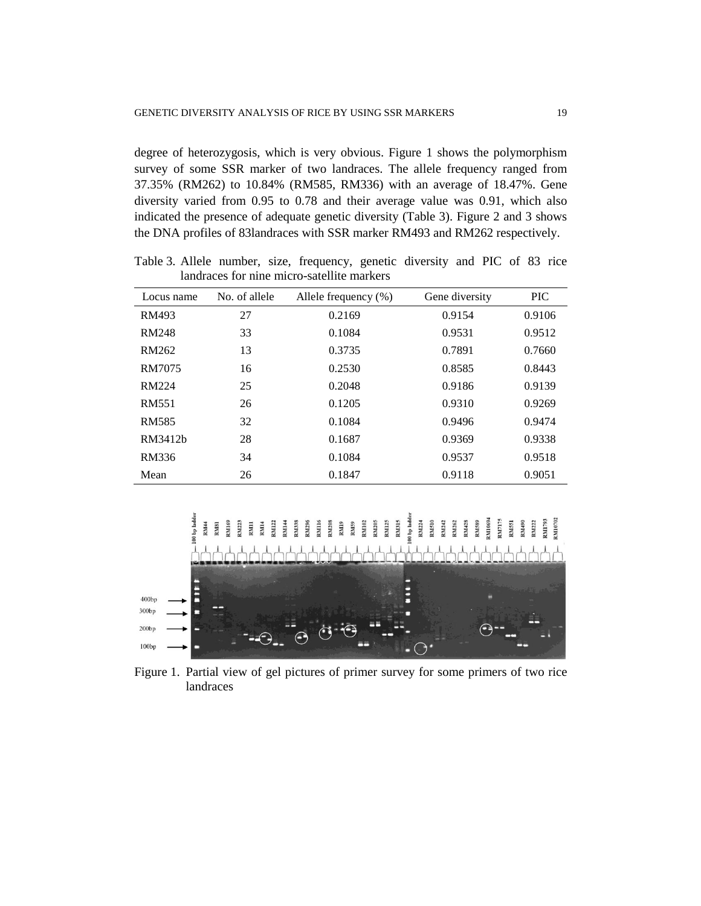degree of heterozygosis, which is very obvious. Figure 1 shows the polymorphism survey of some SSR marker of two landraces. The allele frequency ranged from 37.35% (RM262) to 10.84% (RM585, RM336) with an average of 18.47%. Gene diversity varied from 0.95 to 0.78 and their average value was 0.91, which also indicated the presence of adequate genetic diversity (Table 3). Figure 2 and 3 shows the DNA profiles of 83landraces with SSR marker RM493 and RM262 respectively.

| Locus name   | No. of allele | Allele frequency $(\%)$ | Gene diversity | <b>PIC</b> |
|--------------|---------------|-------------------------|----------------|------------|
| RM493        | 27            | 0.2169                  | 0.9154         | 0.9106     |
| <b>RM248</b> | 33            | 0.1084                  | 0.9531         | 0.9512     |
| RM262        | 13            | 0.3735                  | 0.7891         | 0.7660     |
| RM7075       | 16            | 0.2530                  | 0.8585         | 0.8443     |
| <b>RM224</b> | 25            | 0.2048                  | 0.9186         | 0.9139     |
| RM551        | 26            | 0.1205                  | 0.9310         | 0.9269     |
| <b>RM585</b> | 32            | 0.1084                  | 0.9496         | 0.9474     |
| RM3412b      | 28            | 0.1687                  | 0.9369         | 0.9338     |
| RM336        | 34            | 0.1084                  | 0.9537         | 0.9518     |
| Mean         | 26            | 0.1847                  | 0.9118         | 0.9051     |

Table 3. Allele number, size, frequency, genetic diversity and PIC of 83 rice landraces for nine micro-satellite markers



Figure 1. Partial view of gel pictures of primer survey for some primers of two rice landraces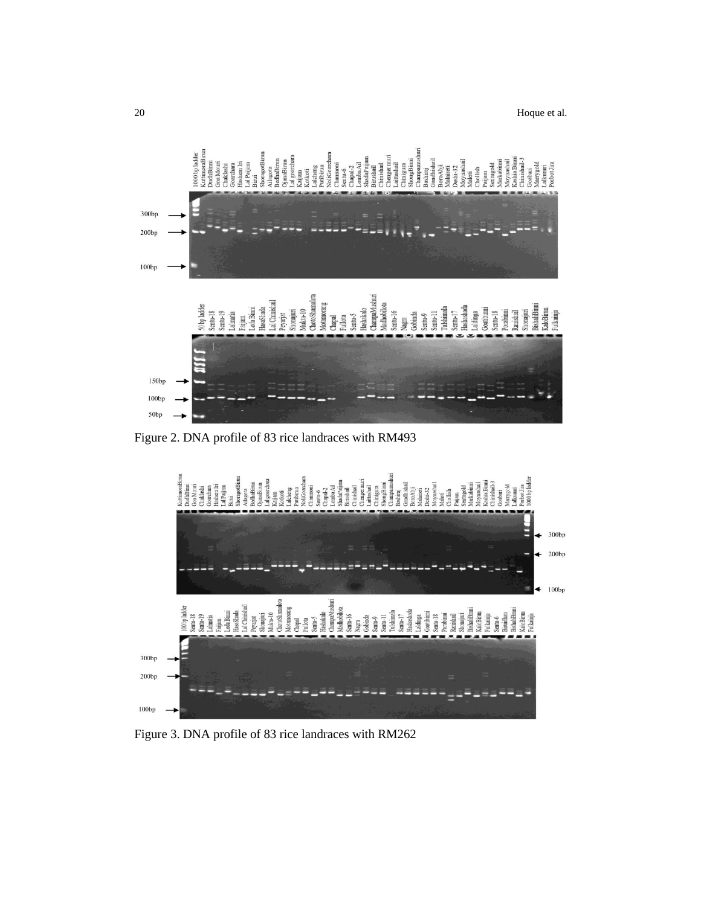

Figure 2. DNA profile of 83 rice landraces with RM493



Figure 3. DNA profile of 83 rice landraces with RM262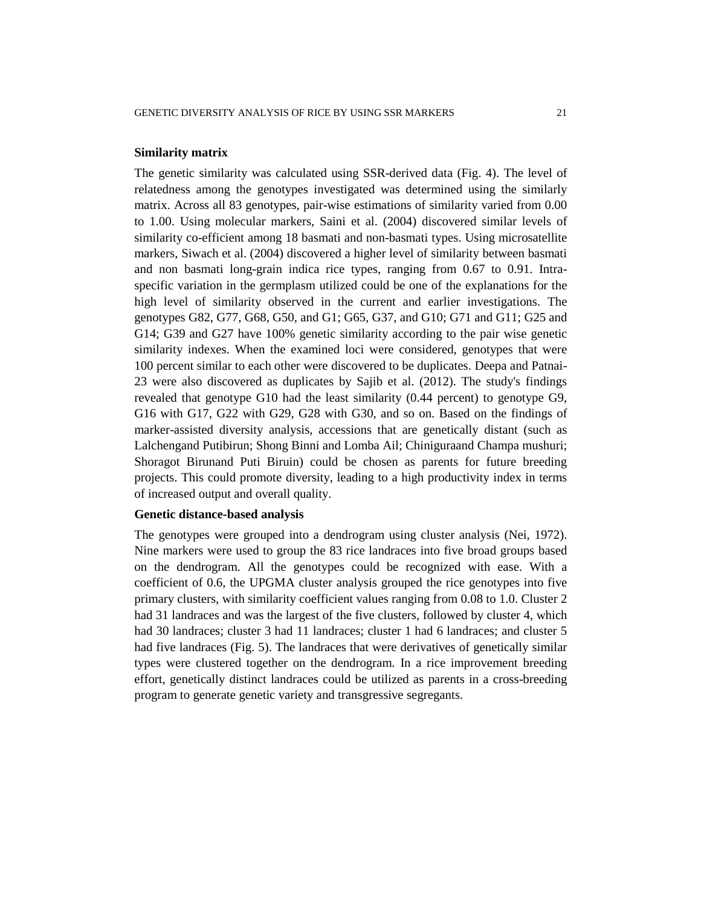#### **Similarity matrix**

The genetic similarity was calculated using SSR-derived data (Fig. 4). The level of relatedness among the genotypes investigated was determined using the similarly matrix. Across all 83 genotypes, pair-wise estimations of similarity varied from 0.00 to 1.00. Using molecular markers, Saini et al. (2004) discovered similar levels of similarity co-efficient among 18 basmati and non-basmati types. Using microsatellite markers, Siwach et al. (2004) discovered a higher level of similarity between basmati and non basmati long-grain indica rice types, ranging from 0.67 to 0.91. Intraspecific variation in the germplasm utilized could be one of the explanations for the high level of similarity observed in the current and earlier investigations. The genotypes G82, G77, G68, G50, and G1; G65, G37, and G10; G71 and G11; G25 and G14; G39 and G27 have 100% genetic similarity according to the pair wise genetic similarity indexes. When the examined loci were considered, genotypes that were 100 percent similar to each other were discovered to be duplicates. Deepa and Patnai-23 were also discovered as duplicates by Sajib et al. (2012). The study's findings revealed that genotype G10 had the least similarity (0.44 percent) to genotype G9, G16 with G17, G22 with G29, G28 with G30, and so on. Based on the findings of marker-assisted diversity analysis, accessions that are genetically distant (such as Lalchengand Putibirun; Shong Binni and Lomba Ail; Chiniguraand Champa mushuri; Shoragot Birunand Puti Biruin) could be chosen as parents for future breeding projects. This could promote diversity, leading to a high productivity index in terms of increased output and overall quality.

#### **Genetic distance-based analysis**

The genotypes were grouped into a dendrogram using cluster analysis (Nei, 1972). Nine markers were used to group the 83 rice landraces into five broad groups based on the dendrogram. All the genotypes could be recognized with ease. With a coefficient of 0.6, the UPGMA cluster analysis grouped the rice genotypes into five primary clusters, with similarity coefficient values ranging from 0.08 to 1.0. Cluster 2 had 31 landraces and was the largest of the five clusters, followed by cluster 4, which had 30 landraces; cluster 3 had 11 landraces; cluster 1 had 6 landraces; and cluster 5 had five landraces (Fig. 5). The landraces that were derivatives of genetically similar types were clustered together on the dendrogram. In a rice improvement breeding effort, genetically distinct landraces could be utilized as parents in a cross-breeding program to generate genetic variety and transgressive segregants.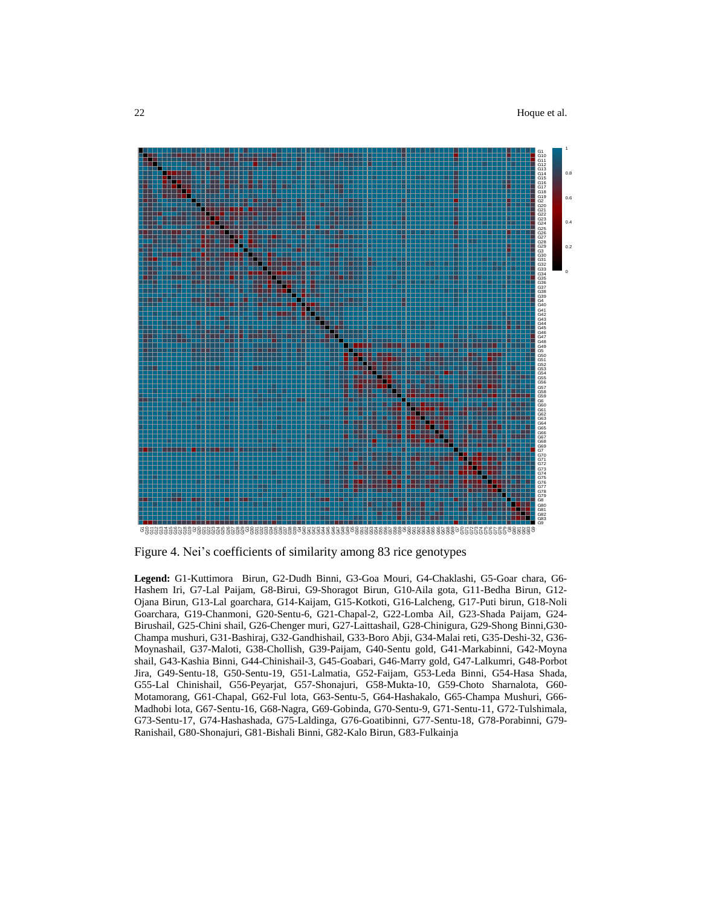

Figure 4. Nei's coefficients of similarity among 83 rice genotypes

**Legend:** G1-Kuttimora Birun, G2-Dudh Binni, G3-Goa Mouri, G4-Chaklashi, G5-Goar chara, G6- Hashem Iri, G7-Lal Paijam, G8-Birui, G9-Shoragot Birun, G10-Aila gota, G11-Bedha Birun, G12- Ojana Birun, G13-Lal goarchara, G14-Kaijam, G15-Kotkoti, G16-Lalcheng, G17-Puti birun, G18-Noli Goarchara, G19-Chanmoni, G20-Sentu-6, G21-Chapal-2, G22-Lomba Ail, G23-Shada Paijam, G24- Birushail, G25-Chini shail, G26-Chenger muri, G27-Laittashail, G28-Chinigura, G29-Shong Binni,G30- Champa mushuri, G31-Bashiraj, G32-Gandhishail, G33-Boro Abji, G34-Malai reti, G35-Deshi-32, G36- Moynashail, G37-Maloti, G38-Chollish, G39-Paijam, G40-Sentu gold, G41-Markabinni, G42-Moyna shail, G43-Kashia Binni, G44-Chinishail-3, G45-Goabari, G46-Marry gold, G47-Lalkumri, G48-Porbot Jira, G49-Sentu-18, G50-Sentu-19, G51-Lalmatia, G52-Faijam, G53-Leda Binni, G54-Hasa Shada, G55-Lal Chinishail, G56-Peyarjat, G57-Shonajuri, G58-Mukta-10, G59-Choto Sharnalota, G60- Motamorang, G61-Chapal, G62-Ful lota, G63-Sentu-5, G64-Hashakalo, G65-Champa Mushuri, G66- Madhobi lota, G67-Sentu-16, G68-Nagra, G69-Gobinda, G70-Sentu-9, G71-Sentu-11, G72-Tulshimala, G73-Sentu-17, G74-Hashashada, G75-Laldinga, G76-Goatibinni, G77-Sentu-18, G78-Porabinni, G79- Ranishail, G80-Shonajuri, G81-Bishali Binni, G82-Kalo Birun, G83-Fulkainja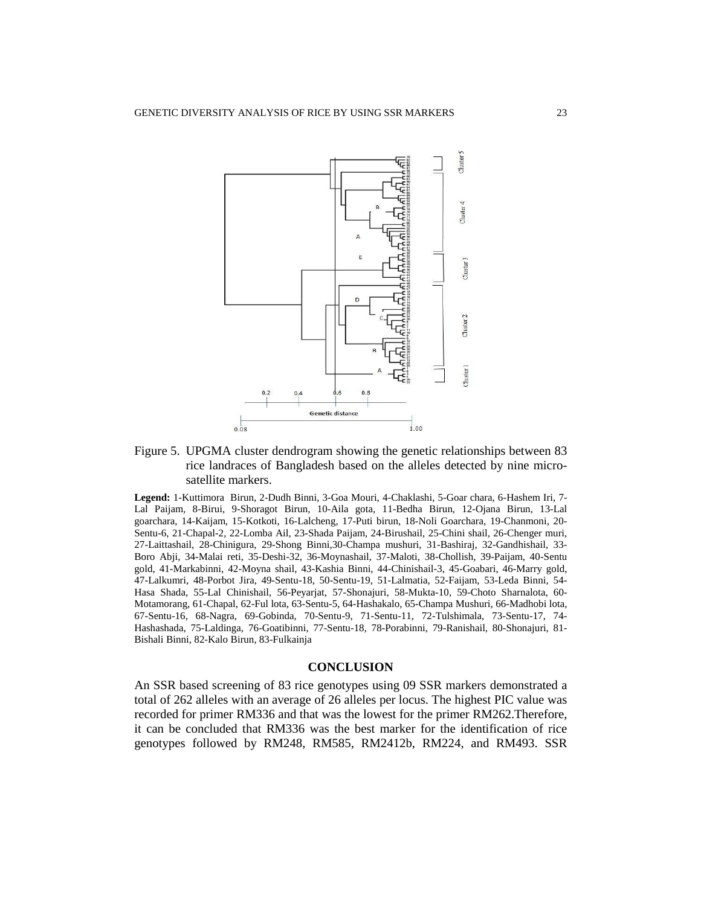

# Figure 5. UPGMA cluster dendrogram showing the genetic relationships between 83 rice landraces of Bangladesh based on the alleles detected by nine microsatellite markers.

**Legend:** 1-Kuttimora Birun, 2-Dudh Binni, 3-Goa Mouri, 4-Chaklashi, 5-Goar chara, 6-Hashem Iri, 7- Lal Paijam, 8-Birui, 9-Shoragot Birun, 10-Aila gota, 11-Bedha Birun, 12-Ojana Birun, 13-Lal goarchara, 14-Kaijam, 15-Kotkoti, 16-Lalcheng, 17-Puti birun, 18-Noli Goarchara, 19-Chanmoni, 20- Sentu-6, 21-Chapal-2, 22-Lomba Ail, 23-Shada Paijam, 24-Birushail, 25-Chini shail, 26-Chenger muri, 27-Laittashail, 28-Chinigura, 29-Shong Binni,30-Champa mushuri, 31-Bashiraj, 32-Gandhishail, 33- Boro Abji, 34-Malai reti, 35-Deshi-32, 36-Moynashail, 37-Maloti, 38-Chollish, 39-Paijam, 40-Sentu gold, 41-Markabinni, 42-Moyna shail, 43-Kashia Binni, 44-Chinishail-3, 45-Goabari, 46-Marry gold, 47-Lalkumri, 48-Porbot Jira, 49-Sentu-18, 50-Sentu-19, 51-Lalmatia, 52-Faijam, 53-Leda Binni, 54- Hasa Shada, 55-Lal Chinishail, 56-Peyarjat, 57-Shonajuri, 58-Mukta-10, 59-Choto Sharnalota, 60- Motamorang, 61-Chapal, 62-Ful lota, 63-Sentu-5, 64-Hashakalo, 65-Champa Mushuri, 66-Madhobi lota, 67-Sentu-16, 68-Nagra, 69-Gobinda, 70-Sentu-9, 71-Sentu-11, 72-Tulshimala, 73-Sentu-17, 74- Hashashada, 75-Laldinga, 76-Goatibinni, 77-Sentu-18, 78-Porabinni, 79-Ranishail, 80-Shonajuri, 81- Bishali Binni, 82-Kalo Birun, 83-Fulkainja

#### **CONCLUSION**

An SSR based screening of 83 rice genotypes using 09 SSR markers demonstrated a total of 262 alleles with an average of 26 alleles per locus. The highest PIC value was recorded for primer RM336 and that was the lowest for the primer RM262.Therefore, it can be concluded that RM336 was the best marker for the identification of rice genotypes followed by RM248, RM585, RM2412b, RM224, and RM493. SSR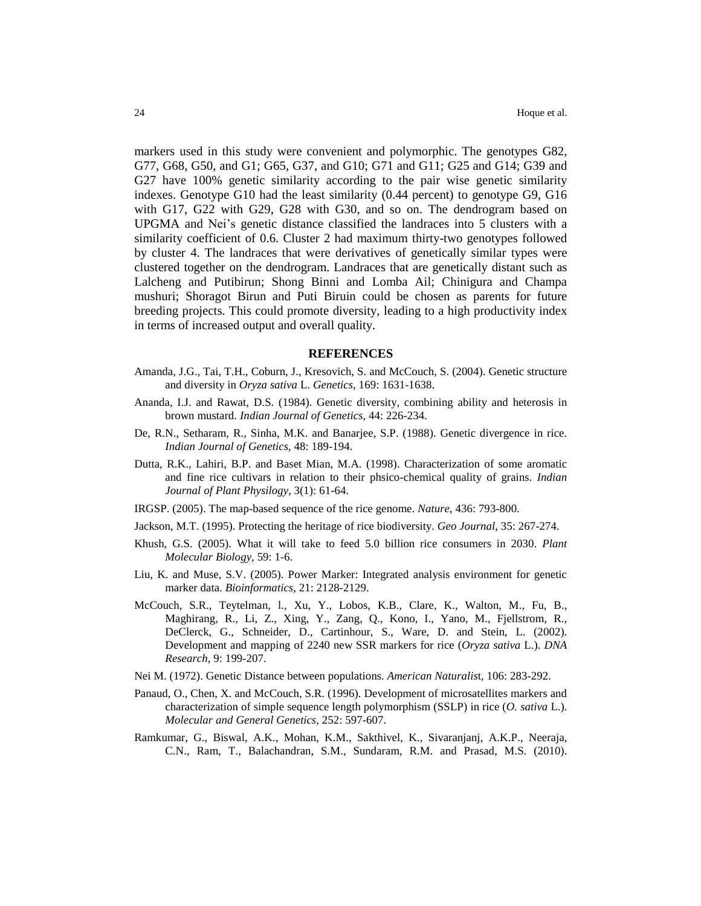markers used in this study were convenient and polymorphic. The genotypes G82, G77, G68, G50, and G1; G65, G37, and G10; G71 and G11; G25 and G14; G39 and G27 have 100% genetic similarity according to the pair wise genetic similarity indexes. Genotype G10 had the least similarity (0.44 percent) to genotype G9, G16 with G17, G22 with G29, G28 with G30, and so on. The dendrogram based on UPGMA and Nei's genetic distance classified the landraces into 5 clusters with a similarity coefficient of 0.6. Cluster 2 had maximum thirty-two genotypes followed by cluster 4. The landraces that were derivatives of genetically similar types were clustered together on the dendrogram. Landraces that are genetically distant such as Lalcheng and Putibirun; Shong Binni and Lomba Ail; Chinigura and Champa mushuri; Shoragot Birun and Puti Biruin could be chosen as parents for future breeding projects. This could promote diversity, leading to a high productivity index in terms of increased output and overall quality.

#### **REFERENCES**

- Amanda, J.G., Tai, T.H., Coburn, J., Kresovich, S. and McCouch, S. (2004). Genetic structure and diversity in *Oryza sativa* L. *Genetics*, 169: 1631-1638.
- Ananda, I.J. and Rawat, D.S. (1984). Genetic diversity, combining ability and heterosis in brown mustard. *Indian Journal of Genetics,* 44: 226-234.
- De, R.N., Setharam, R., Sinha, M.K. and Banarjee, S.P. (1988). Genetic divergence in rice. *Indian Journal of Genetics,* 48: 189-194.
- Dutta, R.K., Lahiri, B.P. and Baset Mian, M.A. (1998). Characterization of some aromatic and fine rice cultivars in relation to their phsico-chemical quality of grains. *Indian Journal of Plant Physilogy,* 3(1): 61-64.
- IRGSP. (2005). The map-based sequence of the rice genome. *Nature*, 436: 793-800.
- Jackson, M.T. (1995). Protecting the heritage of rice biodiversity. *Geo Journal*, 35: 267-274.
- Khush, G.S. (2005). What it will take to feed 5.0 billion rice consumers in 2030. *Plant Molecular Biology,* 59: 1-6.
- Liu, K. and Muse, S.V. (2005). Power Marker: Integrated analysis environment for genetic marker data. *Bioinformatics*, 21: 2128-2129.
- McCouch, S.R., Teytelman, l., Xu, Y., Lobos, K.B., Clare, K., Walton, M., Fu, B., Maghirang, R., Li, Z., Xing, Y., Zang, Q., Kono, I., Yano, M., Fjellstrom, R., DeClerck, G., Schneider, D., Cartinhour, S., Ware, D. and Stein, L. (2002). Development and mapping of 2240 new SSR markers for rice (*Oryza sativa* L.). *DNA Research*, 9: 199-207.
- Nei M. (1972). Genetic Distance between populations. *American Naturalis*t, 106: 283-292.
- Panaud, O., Chen, X. and McCouch, S.R. (1996). Development of microsatellites markers and characterization of simple sequence length polymorphism (SSLP) in rice (*O. sativa* L.). *Molecular and General Genetics,* 252: 597-607.
- Ramkumar, G., Biswal, A.K., Mohan, K.M., Sakthivel, K., Sivaranjanj, A.K.P., Neeraja, C.N., Ram, T., Balachandran, S.M., Sundaram, R.M. and Prasad, M.S. (2010).